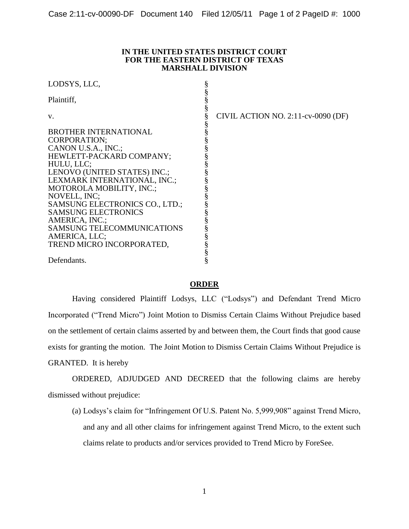## **IN THE UNITED STATES DISTRICT COURT FOR THE EASTERN DISTRICT OF TEXAS MARSHALL DIVISION**

| LODSYS, LLC,                      |                                    |
|-----------------------------------|------------------------------------|
| Plaintiff,                        |                                    |
| V.                                | CIVIL ACTION NO. 2:11-cv-0090 (DF) |
| <b>BROTHER INTERNATIONAL</b>      |                                    |
| <b>CORPORATION:</b>               |                                    |
| CANON U.S.A., INC.;               |                                    |
| HEWLETT-PACKARD COMPANY;          |                                    |
| HULU, LLC;                        |                                    |
| LENOVO (UNITED STATES) INC.;      |                                    |
| LEXMARK INTERNATIONAL, INC.;      |                                    |
| MOTOROLA MOBILITY, INC.;          |                                    |
| NOVELL, INC;                      |                                    |
| SAMSUNG ELECTRONICS CO., LTD.;    |                                    |
| <b>SAMSUNG ELECTRONICS</b>        |                                    |
| AMERICA, INC.;                    |                                    |
| <b>SAMSUNG TELECOMMUNICATIONS</b> |                                    |
| AMERICA, LLC;                     |                                    |
| TREND MICRO INCORPORATED,         |                                    |
|                                   |                                    |
| Defendants.                       |                                    |

## **ORDER**

Having considered Plaintiff Lodsys, LLC ("Lodsys") and Defendant Trend Micro Incorporated ("Trend Micro") Joint Motion to Dismiss Certain Claims Without Prejudice based on the settlement of certain claims asserted by and between them, the Court finds that good cause exists for granting the motion. The Joint Motion to Dismiss Certain Claims Without Prejudice is GRANTED. It is hereby

 ORDERED, ADJUDGED AND DECREED that the following claims are hereby dismissed without prejudice:

 (a) Lodsys's claim for "Infringement Of U.S. Patent No. 5,999,908" against Trend Micro, and any and all other claims for infringement against Trend Micro, to the extent such claims relate to products and/or services provided to Trend Micro by ForeSee.